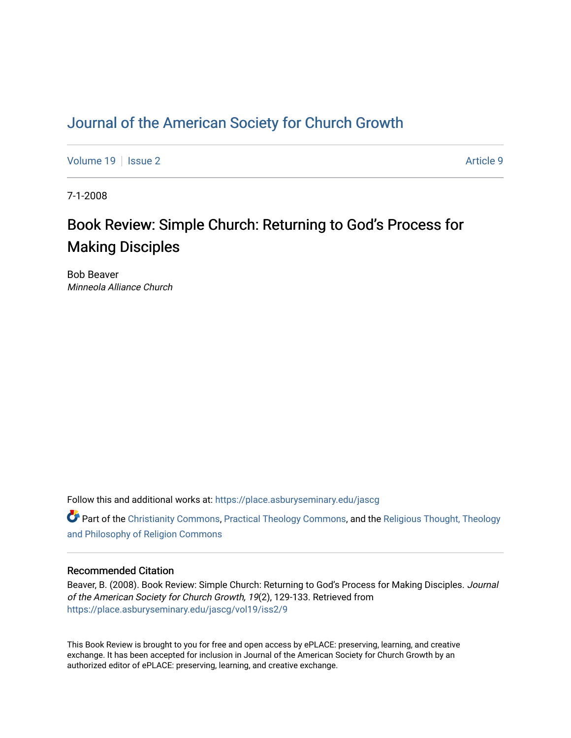## [Journal of the American Society for Church Growth](https://place.asburyseminary.edu/jascg)

[Volume 19](https://place.asburyseminary.edu/jascg/vol19) | [Issue 2](https://place.asburyseminary.edu/jascg/vol19/iss2) Article 9

7-1-2008

# Book Review: Simple Church: Returning to God's Process for Making Disciples

Bob Beaver Minneola Alliance Church

Follow this and additional works at: [https://place.asburyseminary.edu/jascg](https://place.asburyseminary.edu/jascg?utm_source=place.asburyseminary.edu%2Fjascg%2Fvol19%2Fiss2%2F9&utm_medium=PDF&utm_campaign=PDFCoverPages)

**C** Part of the [Christianity Commons,](https://network.bepress.com/hgg/discipline/1181?utm_source=place.asburyseminary.edu%2Fjascg%2Fvol19%2Fiss2%2F9&utm_medium=PDF&utm_campaign=PDFCoverPages) [Practical Theology Commons](https://network.bepress.com/hgg/discipline/1186?utm_source=place.asburyseminary.edu%2Fjascg%2Fvol19%2Fiss2%2F9&utm_medium=PDF&utm_campaign=PDFCoverPages), and the Religious Thought, Theology [and Philosophy of Religion Commons](https://network.bepress.com/hgg/discipline/544?utm_source=place.asburyseminary.edu%2Fjascg%2Fvol19%2Fiss2%2F9&utm_medium=PDF&utm_campaign=PDFCoverPages)

### Recommended Citation

Beaver, B. (2008). Book Review: Simple Church: Returning to God's Process for Making Disciples. Journal of the American Society for Church Growth, 19(2), 129-133. Retrieved from [https://place.asburyseminary.edu/jascg/vol19/iss2/9](https://place.asburyseminary.edu/jascg/vol19/iss2/9?utm_source=place.asburyseminary.edu%2Fjascg%2Fvol19%2Fiss2%2F9&utm_medium=PDF&utm_campaign=PDFCoverPages) 

This Book Review is brought to you for free and open access by ePLACE: preserving, learning, and creative exchange. It has been accepted for inclusion in Journal of the American Society for Church Growth by an authorized editor of ePLACE: preserving, learning, and creative exchange.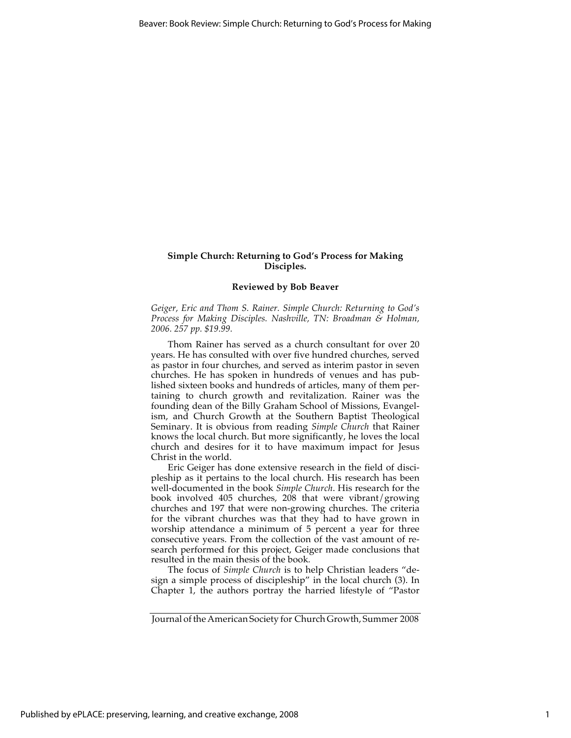#### **Simple Church: Returning to God's Process for Making Disciples.**

#### **Reviewed by Bob Beaver**

*Geiger, Eric and Thom S. Rainer. Simple Church: Returning to God's Process for Making Disciples. Nashville, TN: Broadman & Holman, 2006. 257 pp. \$19.99.*

Thom Rainer has served as a church consultant for over 20 years. He has consulted with over five hundred churches, served as pastor in four churches, and served as interim pastor in seven churches. He has spoken in hundreds of venues and has published sixteen books and hundreds of articles, many of them pertaining to church growth and revitalization. Rainer was the founding dean of the Billy Graham School of Missions, Evangelism, and Church Growth at the Southern Baptist Theological Seminary. It is obvious from reading *Simple Church* that Rainer knows the local church. But more significantly, he loves the local church and desires for it to have maximum impact for Jesus Christ in the world.

Eric Geiger has done extensive research in the field of discipleship as it pertains to the local church. His research has been well-documented in the book *Simple Church*. His research for the book involved 405 churches, 208 that were vibrant/growing churches and 197 that were non-growing churches. The criteria for the vibrant churches was that they had to have grown in worship attendance a minimum of 5 percent a year for three consecutive years. From the collection of the vast amount of research performed for this project, Geiger made conclusions that resulted in the main thesis of the book*.* 

The focus of *Simple Church* is to help Christian leaders "design a simple process of discipleship" in the local church (3). In Chapter 1, the authors portray the harried lifestyle of "Pastor

Journal of the American Society for Church Growth, Summer 2008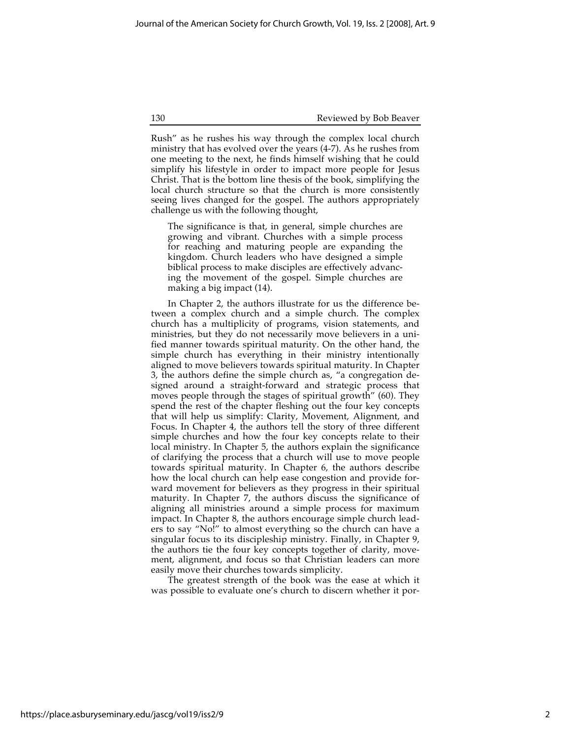130 Reviewed by Bob Beaver

Rush" as he rushes his way through the complex local church ministry that has evolved over the years (4-7). As he rushes from one meeting to the next, he finds himself wishing that he could simplify his lifestyle in order to impact more people for Jesus Christ. That is the bottom line thesis of the book, simplifying the local church structure so that the church is more consistently seeing lives changed for the gospel. The authors appropriately challenge us with the following thought,

The significance is that, in general, simple churches are growing and vibrant. Churches with a simple process for reaching and maturing people are expanding the kingdom. Church leaders who have designed a simple biblical process to make disciples are effectively advancing the movement of the gospel. Simple churches are making a big impact (14).

In Chapter 2, the authors illustrate for us the difference between a complex church and a simple church. The complex church has a multiplicity of programs, vision statements, and ministries, but they do not necessarily move believers in a unified manner towards spiritual maturity. On the other hand, the simple church has everything in their ministry intentionally aligned to move believers towards spiritual maturity. In Chapter 3, the authors define the simple church as, "a congregation designed around a straight-forward and strategic process that moves people through the stages of spiritual growth" (60). They spend the rest of the chapter fleshing out the four key concepts that will help us simplify: Clarity, Movement, Alignment, and Focus. In Chapter 4, the authors tell the story of three different simple churches and how the four key concepts relate to their local ministry. In Chapter 5, the authors explain the significance of clarifying the process that a church will use to move people towards spiritual maturity. In Chapter 6, the authors describe how the local church can help ease congestion and provide forward movement for believers as they progress in their spiritual maturity. In Chapter 7, the authors discuss the significance of aligning all ministries around a simple process for maximum impact. In Chapter 8, the authors encourage simple church leaders to say "No!" to almost everything so the church can have a singular focus to its discipleship ministry. Finally, in Chapter 9, the authors tie the four key concepts together of clarity, movement, alignment, and focus so that Christian leaders can more easily move their churches towards simplicity.

The greatest strength of the book was the ease at which it was possible to evaluate one's church to discern whether it por-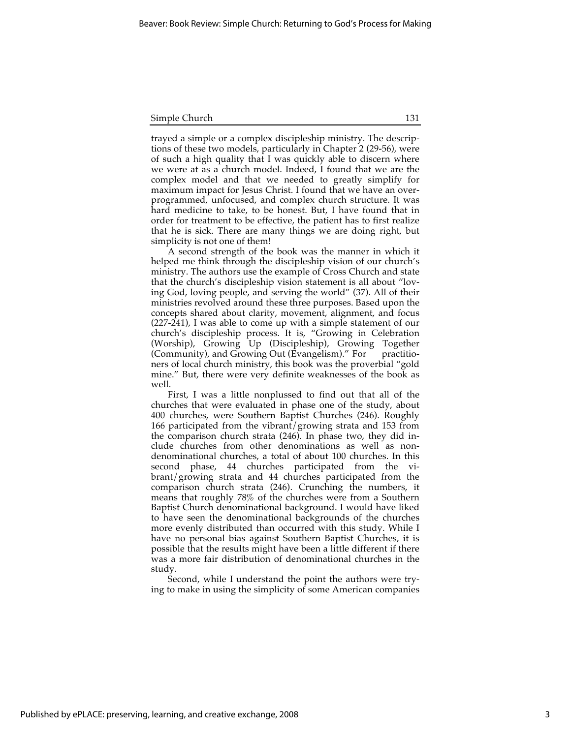| Simple Church |  |
|---------------|--|
|               |  |

trayed a simple or a complex discipleship ministry. The descriptions of these two models, particularly in Chapter 2 (29-56), were of such a high quality that I was quickly able to discern where we were at as a church model. Indeed, I found that we are the complex model and that we needed to greatly simplify for maximum impact for Jesus Christ. I found that we have an overprogrammed, unfocused, and complex church structure. It was hard medicine to take, to be honest. But, I have found that in order for treatment to be effective, the patient has to first realize that he is sick. There are many things we are doing right, but simplicity is not one of them!

A second strength of the book was the manner in which it helped me think through the discipleship vision of our church's ministry. The authors use the example of Cross Church and state that the church's discipleship vision statement is all about "loving God, loving people, and serving the world" (37). All of their ministries revolved around these three purposes. Based upon the concepts shared about clarity, movement, alignment, and focus (227-241), I was able to come up with a simple statement of our church's discipleship process. It is, "Growing in Celebration (Worship), Growing Up (Discipleship), Growing Together (Community), and Growing Out (Evangelism)." For practitioners of local church ministry, this book was the proverbial "gold mine." But, there were very definite weaknesses of the book as well.

First, I was a little nonplussed to find out that all of the churches that were evaluated in phase one of the study, about 400 churches, were Southern Baptist Churches (246). Roughly 166 participated from the vibrant/growing strata and 153 from the comparison church strata (246). In phase two, they did include churches from other denominations as well as nondenominational churches, a total of about 100 churches. In this second phase, 44 churches participated from the vibrant/growing strata and 44 churches participated from the comparison church strata (246). Crunching the numbers, it means that roughly 78% of the churches were from a Southern Baptist Church denominational background. I would have liked to have seen the denominational backgrounds of the churches more evenly distributed than occurred with this study. While I have no personal bias against Southern Baptist Churches, it is possible that the results might have been a little different if there was a more fair distribution of denominational churches in the study.

Second, while I understand the point the authors were trying to make in using the simplicity of some American companies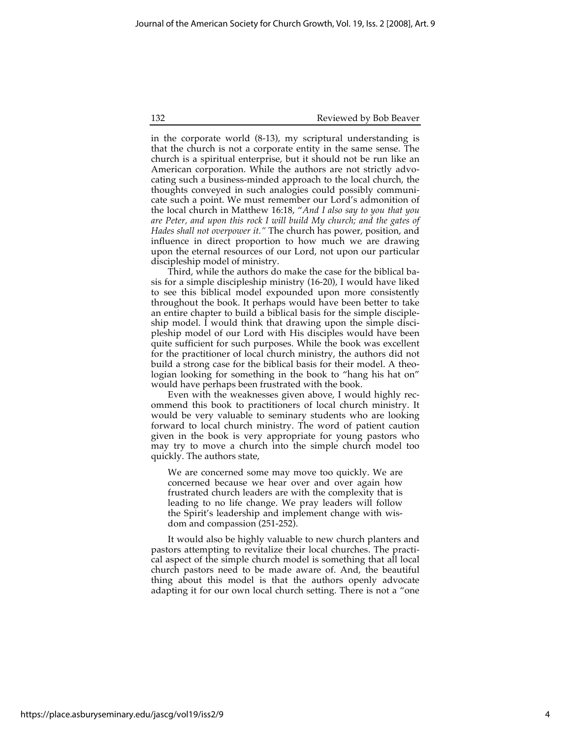132 Reviewed by Bob Beaver

in the corporate world (8-13), my scriptural understanding is that the church is not a corporate entity in the same sense. The church is a spiritual enterprise, but it should not be run like an American corporation. While the authors are not strictly advocating such a business-minded approach to the local church, the thoughts conveyed in such analogies could possibly communicate such a point. We must remember our Lord's admonition of the local church in Matthew 16:18, "*And I also say to you that you are Peter, and upon this rock I will build My church; and the gates of Hades shall not overpower it."* The church has power, position, and influence in direct proportion to how much we are drawing upon the eternal resources of our Lord, not upon our particular discipleship model of ministry.

Third, while the authors do make the case for the biblical basis for a simple discipleship ministry (16-20), I would have liked to see this biblical model expounded upon more consistently throughout the book. It perhaps would have been better to take an entire chapter to build a biblical basis for the simple discipleship model. I would think that drawing upon the simple discipleship model of our Lord with His disciples would have been quite sufficient for such purposes. While the book was excellent for the practitioner of local church ministry, the authors did not build a strong case for the biblical basis for their model. A theologian looking for something in the book to "hang his hat on" would have perhaps been frustrated with the book.

Even with the weaknesses given above, I would highly recommend this book to practitioners of local church ministry. It would be very valuable to seminary students who are looking forward to local church ministry. The word of patient caution given in the book is very appropriate for young pastors who may try to move a church into the simple church model too quickly. The authors state,

We are concerned some may move too quickly. We are concerned because we hear over and over again how frustrated church leaders are with the complexity that is leading to no life change. We pray leaders will follow the Spirit's leadership and implement change with wisdom and compassion (251-252).

It would also be highly valuable to new church planters and pastors attempting to revitalize their local churches. The practical aspect of the simple church model is something that all local church pastors need to be made aware of. And, the beautiful thing about this model is that the authors openly advocate adapting it for our own local church setting. There is not a "one